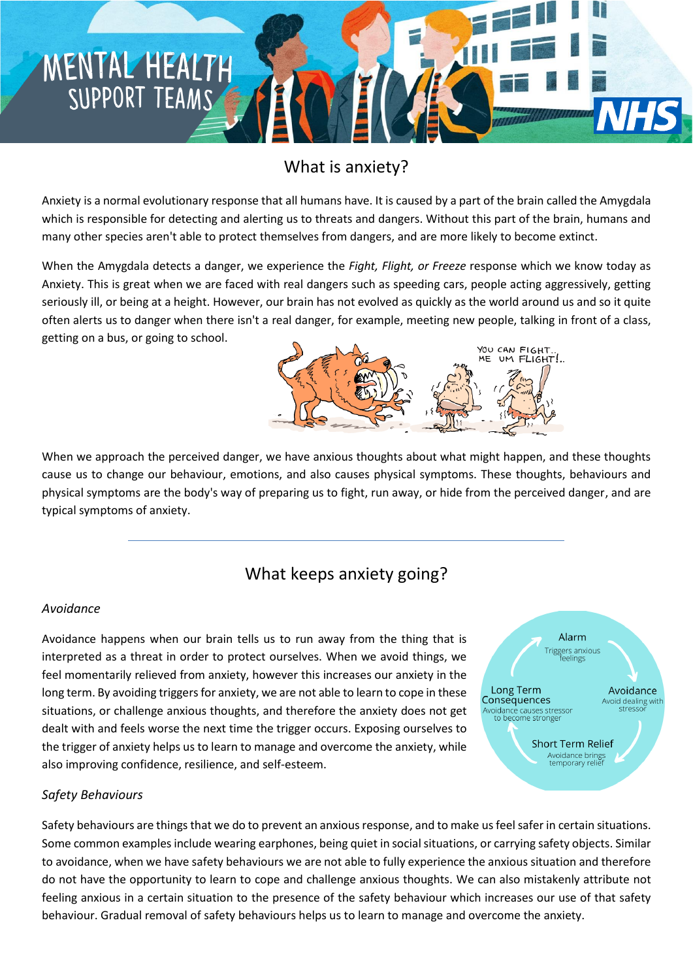## What is anxiety?

Anxiety is a normal evolutionary response that all humans have. It is caused by a part of the brain called the Amygdala which is responsible for detecting and alerting us to threats and dangers. Without this part of the brain, humans and many other species aren't able to protect themselves from dangers, and are more likely to become extinct.

When the Amygdala detects a danger, we experience the *Fight, Flight, or Freeze* response which we know today as Anxiety. This is great when we are faced with real dangers such as speeding cars, people acting aggressively, getting seriously ill, or being at a height. However, our brain has not evolved as quickly as the world around us and so it quite often alerts us to danger when there isn't a real danger, for example, meeting new people, talking in front of a class, getting on a bus, or going to school. YOU CAN FIGHT.



When we approach the perceived danger, we have anxious thoughts about what might happen, and these thoughts cause us to change our behaviour, emotions, and also causes physical symptoms. These thoughts, behaviours and physical symptoms are the body's way of preparing us to fight, run away, or hide from the perceived danger, and are typical symptoms of anxiety.

### What keeps anxiety going?

#### *Avoidance*

MENTAL HEALTH

SUPPORT TEAMS

Avoidance happens when our brain tells us to run away from the thing that is interpreted as a threat in order to protect ourselves. When we avoid things, we feel momentarily relieved from anxiety, however this increases our anxiety in the long term. By avoiding triggers for anxiety, we are not able to learn to cope in these situations, or challenge anxious thoughts, and therefore the anxiety does not get dealt with and feels worse the next time the trigger occurs. Exposing ourselves to the trigger of anxiety helps us to learn to manage and overcome the anxiety, while also improving confidence, resilience, and self-esteem.



### *Safety Behaviours*

Safety behaviours are things that we do to prevent an anxious response, and to make us feel safer in certain situations. Some common examples include wearing earphones, being quiet in social situations, or carrying safety objects. Similar to avoidance, when we have safety behaviours we are not able to fully experience the anxious situation and therefore do not have the opportunity to learn to cope and challenge anxious thoughts. We can also mistakenly attribute not feeling anxious in a certain situation to the presence of the safety behaviour which increases our use of that safety behaviour. Gradual removal of safety behaviours helps us to learn to manage and overcome the anxiety.